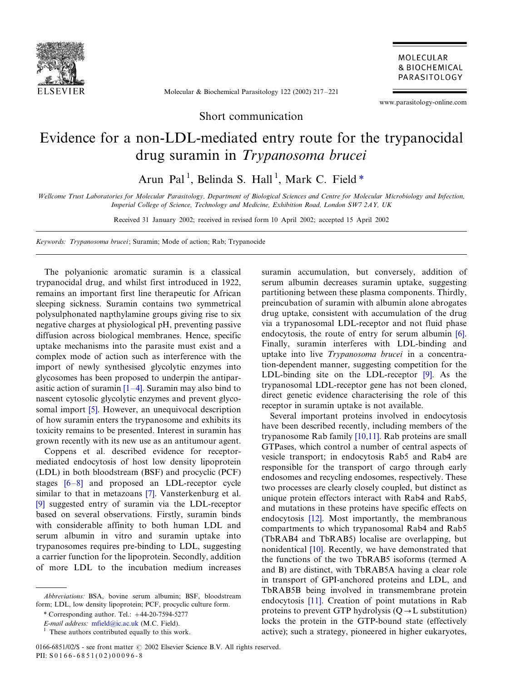

Molecular & Biochemical Parasitology 122 (2002) 217-221

www.parasitology-online.com

MOLECULAR **& BIOCHEMICAL** PARASITOLOGY

Short communication

## Evidence for a non-LDL-mediated entry route for the trypanocidal drug suramin in Trypanosoma brucei

Arun Pal<sup>1</sup>, Belinda S. Hall<sup>1</sup>, Mark C. Field \*

Wellcome Trust Laboratories for Molecular Parasitology, Department of Biological Sciences and Centre for Molecular Microbiology and Infection, Imperial College of Science, Technology and Medicine, Exhibition Road, London SW7 2AY, UK

Received 31 January 2002; received in revised form 10 April 2002; accepted 15 April 2002

Keywords: Trypanosoma brucei; Suramin; Mode of action; Rab; Trypanocide

The polyanionic aromatic suramin is a classical trypanocidal drug, and whilst first introduced in 1922, remains an important first line therapeutic for African sleeping sickness. Suramin contains two symmetrical polysulphonated napthylamine groups giving rise to six negative charges at physiological pH, preventing passive diffusion across biological membranes. Hence, specific uptake mechanisms into the parasite must exist and a complex mode of action such as interference with the import of newly synthesised glycolytic enzymes into glycosomes has been proposed to underpin the antiparasitic action of suramin  $[1-4]$  $[1-4]$ . Suramin may also bind to nascent cytosolic glycolytic enzymes and prevent glycosomal import [\[5\].](#page-4-0) However, an unequivocal description of how suramin enters the trypanosome and exhibits its toxicity remains to be presented. Interest in suramin has grown recently with its new use as an antitumour agent.

Coppens et al. described evidence for receptormediated endocytosis of host low density lipoprotein (LDL) in both bloodstream (BSF) and procyclic (PCF) stages  $[6-8]$  $[6-8]$  and proposed an LDL-receptor cycle similar to that in metazoans [\[7\]](#page-4-0). Vansterkenburg et al. [\[9\]](#page-4-0) suggested entry of suramin via the LDL-receptor based on several observations. Firstly, suramin binds with considerable affinity to both human LDL and serum albumin in vitro and suramin uptake into trypanosomes requires pre-binding to LDL, suggesting a carrier function for the lipoprotein. Secondly, addition of more LDL to the incubation medium increases

0166-6851/02/\$ - see front matter  $\odot$  2002 Elsevier Science B.V. All rights reserved. PII: S 0 1 6 6 - 6 8 5 1 ( 0 2 ) 0 0 0 9 6 - 8

suramin accumulation, but conversely, addition of serum albumin decreases suramin uptake, suggesting partitioning between these plasma components. Thirdly, preincubation of suramin with albumin alone abrogates drug uptake, consistent with accumulation of the drug via a trypanosomal LDL-receptor and not fluid phase endocytosis, the route of entry for serum albumin [\[6\]](#page-4-0). Finally, suramin interferes with LDL-binding and uptake into live Trypanosoma brucei in a concentration-dependent manner, suggesting competition for the LDL-binding site on the LDL-receptor [\[9\]](#page-4-0). As the trypanosomal LDL-receptor gene has not been cloned, direct genetic evidence characterising the role of this receptor in suramin uptake is not available.

Several important proteins involved in endocytosis have been described recently, including members of the trypanosome Rab family [\[10,11\].](#page-4-0) Rab proteins are small GTPases, which control a number of central aspects of vesicle transport; in endocytosis Rab5 and Rab4 are responsible for the transport of cargo through early endosomes and recycling endosomes, respectively. These two processes are clearly closely coupled, but distinct as unique protein effectors interact with Rab4 and Rab5, and mutations in these proteins have specific effects on endocytosis [\[12\]](#page-4-0). Most importantly, the membranous compartments to which trypanosomal Rab4 and Rab5 (TbRAB4 and TbRAB5) localise are overlapping, but nonidentical [\[10\]](#page-4-0). Recently, we have demonstrated that the functions of the two TbRAB5 isoforms (termed A and B) are distinct, with TbRAB5A having a clear role in transport of GPI-anchored proteins and LDL, and TbRAB5B being involved in transmembrane protein endocytosis [\[11\].](#page-4-0) Creation of point mutations in Rab proteins to prevent GTP hydrolysis  $(Q \rightarrow L$  substitution) locks the protein in the GTP-bound state (effectively active); such a strategy, pioneered in higher eukaryotes,

Abbreviations: BSA, bovine serum albumin; BSF, bloodstream form; LDL, low density lipoprotein; PCF, procyclic culture form.

 $*$  Corresponding author. Tel.:  $+44-20-7594-5277$ 

E-mail address: [mfield@ic.ac.uk](mailto:mfield@ic.ac.uk) (M.C. Field).

 $<sup>1</sup>$  These authors contributed equally to this work.</sup>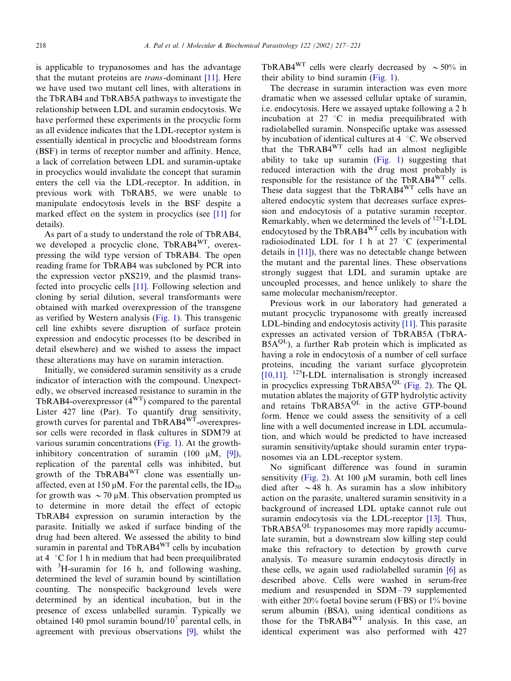is applicable to trypanosomes and has the advantage that the mutant proteins are trans-dominant [\[11\].](#page-4-0) Here we have used two mutant cell lines, with alterations in the TbRAB4 and TbRAB5A pathways to investigate the relationship between LDL and suramin endocytosis. We have performed these experiments in the procyclic form as all evidence indicates that the LDL-receptor system is essentially identical in procyclic and bloodstream forms (BSF) in terms of receptor number and affinity. Hence, a lack of correlation between LDL and suramin-uptake in procyclics would invalidate the concept that suramin enters the cell via the LDL-receptor. In addition, in previous work with TbRAB5, we were unable to manipulate endocytosis levels in the BSF despite a marked effect on the system in procyclics (see [\[11\]](#page-4-0) for details).

As part of a study to understand the role of TbRAB4, we developed a procyclic clone, TbRAB4<sup>WT</sup>, overexpressing the wild type version of TbRAB4. The open reading frame for TbRAB4 was subcloned by PCR into the expression vector pXS219, and the plasmid transfected into procyclic cells [\[11\].](#page-4-0) Following selection and cloning by serial dilution, several transformants were obtained with marked overexpression of the transgene as verified by Western analysis [\(Fig. 1](#page-2-0)). This transgenic cell line exhibts severe disruption of surface protein expression and endocytic processes (to be described in detail elsewhere) and we wished to assess the impact these alterations may have on suramin interaction.

Initially, we considered suramin sensitivity as a crude indicator of interaction with the compound. Unexpectedly, we observed increased resistance to suramin in the TbRAB4-overexpressor  $(4<sup>WT</sup>)$  compared to the parental Lister 427 line (Par). To quantify drug sensitivity, growth curves for parental and TbRAB4WT-overexpressor cells were recorded in flask cultures in SDM79 at various suramin concentrations ([Fig. 1\)](#page-2-0). At the growthinhibitory concentration of suramin (100  $\mu$ M, [\[9\]\)](#page-4-0), replication of the parental cells was inhibited, but growth of the TbRAB4<sup>WT</sup> clone was essentially unaffected, even at 150  $\mu$ M. For the parental cells, the ID<sub>50</sub> for growth was  $\sim$  70 µM. This observation prompted us to determine in more detail the effect of ectopic TbRAB4 expression on suramin interaction by the parasite. Initially we asked if surface binding of the drug had been altered. We assessed the ability to bind suramin in parental and TbRAB4<sup>WT</sup> cells by incubation at  $4 \degree$ C for 1 h in medium that had been preequilibrated with  ${}^{3}$ H-suramin for 16 h, and following washing, determined the level of suramin bound by scintillation counting. The nonspecific background levels were determined by an identical incubation, but in the presence of excess unlabelled suramin. Typically we obtained 140 pmol suramin bound/ $10<sup>7</sup>$  parental cells, in agreement with previous observations [\[9\]](#page-4-0), whilst the TbRAB4<sup>WT</sup> cells were clearly decreased by  $\sim$  50% in their ability to bind suramin [\(Fig. 1\)](#page-2-0).

The decrease in suramin interaction was even more dramatic when we assessed cellular uptake of suramin, i.e. endocytosis. Here we assayed uptake following a 2 h incubation at  $27 \text{ °C}$  in media preequilibrated with radiolabelled suramin. Nonspecific uptake was assessed by incubation of identical cultures at 4  $\degree$ C. We observed that the TbRAB4WT cells had an almost negligible ability to take up suramin ([Fig. 1\)](#page-2-0) suggesting that reduced interaction with the drug most probably is responsible for the resistance of the TbRAB4WT cells. These data suggest that the TbRAB4WT cells have an altered endocytic system that decreases surface expression and endocytosis of a putative suramin receptor. Remarkably, when we determined the levels of  $^{125}$ I-LDL endocytosed by the TbRAB4WT cells by incubation with radioiodinated LDL for 1 h at 27  $\degree$ C (experimental details in [\[11\]](#page-4-0)), there was no detectable change between the mutant and the parental lines. These observations strongly suggest that LDL and suramin uptake are uncoupled processes, and hence unlikely to share the same molecular mechanism/receptor.

Previous work in our laboratory had generated a mutant procyclic trypanosome with greatly increased LDL-binding and endocytosis activity [\[11\]](#page-4-0). This parasite expresses an activated version of TbRAB5A (TbRA- $B5A^{QL}$ ), a further Rab protein which is implicated as having a role in endocytosis of a number of cell surface proteins, incuding the variant surface glycoprotein [\[10,11\].](#page-4-0) 125I-LDL internalisation is strongly increased in procyclics expressing TbRAB5 $A^{QL}$  [\(Fig. 2\)](#page-3-0). The QL mutation ablates the majority of GTP hydrolytic activity and retains TbRAB5A<sup>QL</sup> in the active GTP-bound form. Hence we could assess the sensitivity of a cell line with a well documented increase in LDL accumulation, and which would be predicted to have increased suramin sensitivity/uptake should suramin enter trypanosomes via an LDL-receptor system.

No significant difference was found in suramin sensitivity [\(Fig. 2](#page-3-0)). At 100  $\mu$ M suramin, both cell lines died after  $\sim$  48 h. As suramin has a slow inhibitory action on the parasite, unaltered suramin sensitivity in a background of increased LDL uptake cannot rule out suramin endocytosis via the LDL-receptor [\[13\].](#page-4-0) Thus, TbRAB5A<sup>QL</sup> trypanosomes may more rapidly accumulate suramin, but a downstream slow killing step could make this refractory to detection by growth curve analysis. To measure suramin endocytosis directly in these cells, we again used radiolabelled suramin [\[6\]](#page-4-0) as described above. Cells were washed in serum-free medium and resuspended in SDM-79 supplemented with either 20% foetal bovine serum (FBS) or 1% bovine serum albumin (BSA), using identical conditions as those for the TbRAB4WT analysis. In this case, an identical experiment was also performed with 427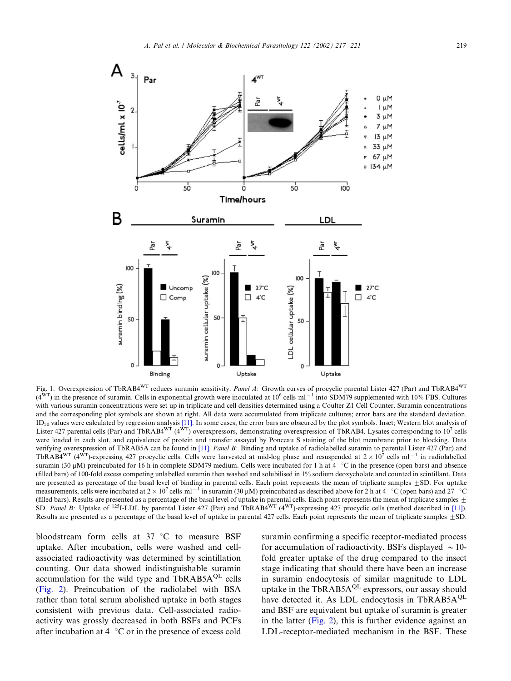<span id="page-2-0"></span>

Fig. 1. Overexpression of TbRAB4<sup>WT</sup> reduces suramin sensitivity. Panel A: Growth curves of procyclic parental Lister 427 (Par) and TbRAB4<sup>WT</sup>  $(4^{WT})$  in the presence of suramin. Cells in exponential growth were inoculated at  $10^6$  cells ml<sup>-1</sup> into SDM79 supplemented with 10% FBS. Cultures with various suramin concentrations were set up in triplicate and cell densities determined using a Coulter Z1 Cell Counter. Suramin concentrations and the corresponding plot symbols are shown at right. All data were accumulated from triplicate cultures; error bars are the standard deviation.  $ID_{50}$  values were calculated by regression analysis [\[11\].](#page-4-0) In some cases, the error bars are obscured by the plot symbols. Inset; Western blot analysis of Lister 427 parental cells (Par) and TbRAB4<sup>wT</sup> ( $4\overline{W}$ <sup>T</sup>) overexpressors, demonstrating overexpression of TbRAB4. Lysates corresponding to 10<sup>7</sup> cells were loaded in each slot, and equivalence of protein and transfer assayed by Ponceau S staining of the blot membrane prior to blocking. Data verifying overexpression of TbRAB5A can be found in [\[11\].](#page-4-0) Panel B: Binding and uptake of radiolabelled suramin to parental Lister 427 (Par) and TbRAB4<sup>WT</sup> (4<sup>WT</sup>)-expressing 427 procyclic cells. Cells were harvested at mid-log phase and resuspended at  $2 \times 10^7$  cells ml<sup>-1</sup> in radiolabelled suramin (30  $\mu$ M) preincubated for 16 h in complete SDM79 medium. Cells were incubated for 1 h at 4  $\degree$ C in the presence (open bars) and absence (filled bars) of 100-fold excess competing unlabelled suramin then washed and solubilised in 1% sodium deoxycholate and counted in scintillant. Data are presented as percentage of the basal level of binding in parental cells. Each point represents the mean of triplicate samples  $\pm$ SD. For uptake measurements, cells were incubated at  $2 \times 10^7$  cells ml<sup>-1</sup> in suramin (30  $\mu$ M) preincubated as described above for 2 h at 4  $\degree$ C (open bars) and 27  $\degree$ C (filled bars). Results are presented as a percentage of the basal level of uptake in parental cells. Each point represents the mean of triplicate samples  $\pm$ <br>SD. Panel B: Uptake of <sup>125</sup>I-LDL by parental Lister 427 (Par) Results are presented as a percentage of the basal level of uptake in parental 427 cells. Each point represents the mean of triplicate samples  $\pm$ SD.

bloodstream form cells at  $37 °C$  to measure BSF uptake. After incubation, cells were washed and cellassociated radioactivity was determined by scintillation counting. Our data showed indistinguishable suramin accumulation for the wild type and  $TbRAB5A^{QL}$  cells [\(Fig. 2\)](#page-3-0). Preincubation of the radiolabel with BSA rather than total serum abolished uptake in both stages consistent with previous data. Cell-associated radioactivity was grossly decreased in both BSFs and PCFs after incubation at 4  $\degree$ C or in the presence of excess cold

suramin confirming a specific receptor-mediated process for accumulation of radioactivity. BSFs displayed  $\sim$  10fold greater uptake of the drug compared to the insect stage indicating that should there have been an increase in suramin endocytosis of similar magnitude to LDL uptake in the TbRAB5A<sup>QL</sup> expressors, our assay should have detected it. As LDL endocytosis in TbRAB5 $A^{QL}$ and BSF are equivalent but uptake of suramin is greater in the latter ([Fig. 2](#page-3-0)), this is further evidence against an LDL-receptor-mediated mechanism in the BSF. These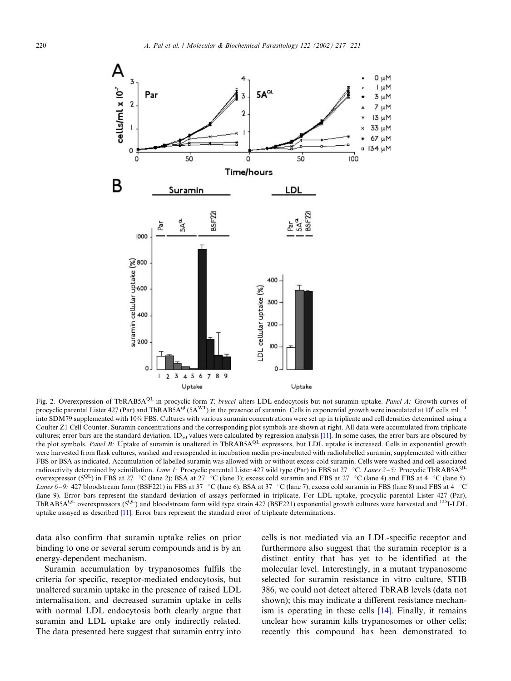<span id="page-3-0"></span>

Fig. 2. Overexpression of TbRAB5A<sup>QL</sup> in procyclic form T. brucei alters LDL endocytosis but not suramin uptake. Panel A: Growth curves of procyclic parental Lister 427 (Par) and TbRAB5A<sup>ql</sup> (5A<sup>WT</sup>) in the presence of suramin. Cells in exponential growth were inoculated at 10<sup>6</sup> cells ml<sup>-1</sup> into SDM79 supplemented with 10% FBS. Cultures with various suramin concentrations were set up in triplicate and cell densities determined using a Coulter Z1 Cell Counter. Suramin concentrations and the corresponding plot symbols are shown at right. All data were accumulated from triplicate cultures; error bars are the standard deviation. ID<sub>50</sub> values were calculated by regression analysis [\[11\]](#page-4-0). In some cases, the error bars are obscured by the plot symbols. Panel B: Uptake of suramin is unaltered in TbRAB5A<sup>QL</sup> expressors, but LDL uptake is increased. Cells in exponential growth were harvested from flask cultures, washed and resuspended in incubation media pre-incubated with radiolabelled suramin, supplemented with either FBS or BSA as indicated. Accumulation of labelled suramin was allowed with or without excess cold suramin. Cells were washed and cell-associated radioactivity determined by scintillation. Lane 1: Procyclic parental Lister 427 wild type (Par) in FBS at 27 °C. Lanes 2–5: Procyclic TbRAB5A<sup>QL</sup> overexpressor ( $5^{QL}$ ) in FBS at 27 °C (lane 2); BSA at 27 °C (lane 3); excess cold suramin and FBS at 27 °C (lane 4) and FBS at 4 °C (lane 5). Lanes 6–9: 427 bloodstream form (BSF221) in FBS at 37 °C (lane 6); BSA at 37 °C (lane 7); excess cold suramin in FBS (lane 8) and FBS at 4 °C (lane 9). Error bars represent the standard deviation of assays performed in triplicate. For LDL uptake, procyclic parental Lister 427 (Par), TbRAB5A<sup>QL</sup> overexpressors (5<sup>QL</sup>) and bloodstream form wild type strain 427 (BSF221) exponential growth cultures were harvested and <sup>125</sup>I-LDL uptake assayed as described [\[11\].](#page-4-0) Error bars represent the standard error of triplicate determinations.

data also confirm that suramin uptake relies on prior binding to one or several serum compounds and is by an energy-dependent mechanism.

Suramin accumulation by trypanosomes fulfils the criteria for specific, receptor-mediated endocytosis, but unaltered suramin uptake in the presence of raised LDL internalisation, and decreased suramin uptake in cells with normal LDL endocytosis both clearly argue that suramin and LDL uptake are only indirectly related. The data presented here suggest that suramin entry into cells is not mediated via an LDL-specific receptor and furthermore also suggest that the suramin receptor is a distinct entity that has yet to be identified at the molecular level. Interestingly, in a mutant trypanosome selected for suramin resistance in vitro culture, STIB 386, we could not detect altered TbRAB levels (data not shown); this may indicate a different resistance mechanism is operating in these cells [\[14\].](#page-4-0) Finally, it remains unclear how suramin kills trypanosomes or other cells; recently this compound has been demonstrated to